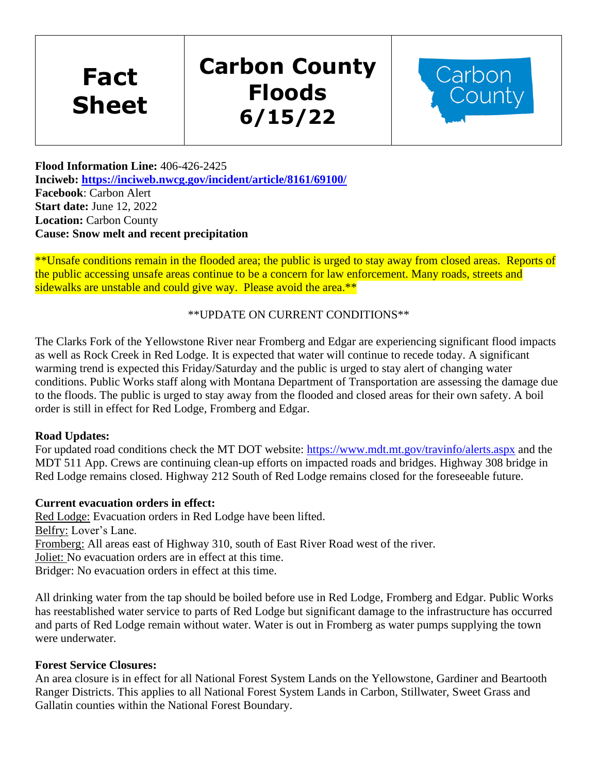**Fact Sheet**

# **Carbon County Floods 6/15/22**



**Flood Information Line:** 406-426-2425 **Inciweb:<https://inciweb.nwcg.gov/incident/article/8161/69100/> Facebook**: Carbon Alert **Start date:** June 12, 2022 **Location:** Carbon County **Cause: Snow melt and recent precipitation**

\*\*Unsafe conditions remain in the flooded area; the public is urged to stay away from closed areas. Reports of the public accessing unsafe areas continue to be a concern for law enforcement. Many roads, streets and sidewalks are unstable and could give way. Please avoid the area.\*\*

### \*\*UPDATE ON CURRENT CONDITIONS\*\*

The Clarks Fork of the Yellowstone River near Fromberg and Edgar are experiencing significant flood impacts as well as Rock Creek in Red Lodge. It is expected that water will continue to recede today. A significant warming trend is expected this Friday/Saturday and the public is urged to stay alert of changing water conditions. Public Works staff along with Montana Department of Transportation are assessing the damage due to the floods. The public is urged to stay away from the flooded and closed areas for their own safety. A boil order is still in effect for Red Lodge, Fromberg and Edgar.

### **Road Updates:**

For updated road conditions check the MT DOT website:<https://www.mdt.mt.gov/travinfo/alerts.aspx> and the MDT 511 App. Crews are continuing clean-up efforts on impacted roads and bridges. Highway 308 bridge in Red Lodge remains closed. Highway 212 South of Red Lodge remains closed for the foreseeable future.

### **Current evacuation orders in effect:**

Red Lodge: Evacuation orders in Red Lodge have been lifted. Belfry: Lover's Lane. Fromberg: All areas east of Highway 310, south of East River Road west of the river. Joliet: No evacuation orders are in effect at this time. Bridger: No evacuation orders in effect at this time.

All drinking water from the tap should be boiled before use in Red Lodge, Fromberg and Edgar. Public Works has reestablished water service to parts of Red Lodge but significant damage to the infrastructure has occurred and parts of Red Lodge remain without water. Water is out in Fromberg as water pumps supplying the town were underwater.

#### **Forest Service Closures:**

An area closure is in effect for all National Forest System Lands on the Yellowstone, Gardiner and Beartooth Ranger Districts. This applies to all National Forest System Lands in Carbon, Stillwater, Sweet Grass and Gallatin counties within the National Forest Boundary.